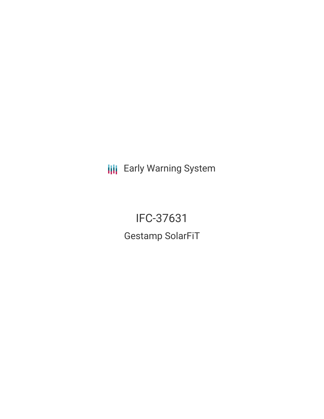**III** Early Warning System

IFC-37631 Gestamp SolarFiT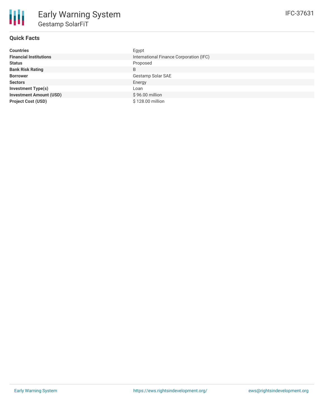

# **Quick Facts**

| <b>Countries</b>               | Egypt                                   |
|--------------------------------|-----------------------------------------|
| <b>Financial Institutions</b>  | International Finance Corporation (IFC) |
| <b>Status</b>                  | Proposed                                |
| <b>Bank Risk Rating</b>        | B                                       |
| <b>Borrower</b>                | Gestamp Solar SAE                       |
| <b>Sectors</b>                 | Energy                                  |
| <b>Investment Type(s)</b>      | Loan                                    |
| <b>Investment Amount (USD)</b> | $$96.00$ million                        |
| <b>Project Cost (USD)</b>      | \$128,00 million                        |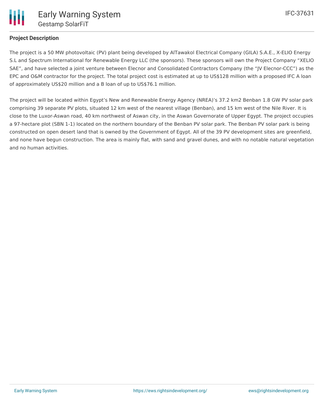

# **Project Description**

The project is a 50 MW photovoltaic (PV) plant being developed by AlTawakol Electrical Company (GILA) S.A.E., X-ELIO Energy S.L and Spectrum International for Renewable Energy LLC (the sponsors). These sponsors will own the Project Company "XELIO SAE", and have selected a joint venture between Elecnor and Consolidated Contractors Company (the "JV Elecnor-CCC") as the EPC and O&M contractor for the project. The total project cost is estimated at up to US\$128 million with a proposed IFC A loan of approximately US\$20 million and a B loan of up to US\$76.1 million.

The project will be located within Egypt's New and Renewable Energy Agency (NREA)'s 37.2 km2 Benban 1.8 GW PV solar park comprising 39 separate PV plots, situated 12 km west of the nearest village (Benban), and 15 km west of the Nile River. It is close to the Luxor-Aswan road, 40 km northwest of Aswan city, in the Aswan Governorate of Upper Egypt. The project occupies a 97-hectare plot (SBN 1-1) located on the northern boundary of the Benban PV solar park. The Benban PV solar park is being constructed on open desert land that is owned by the Government of Egypt. All of the 39 PV development sites are greenfield, and none have begun construction. The area is mainly flat, with sand and gravel dunes, and with no notable natural vegetation and no human activities.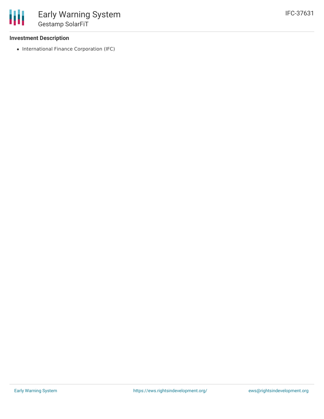### **Investment Description**

• International Finance Corporation (IFC)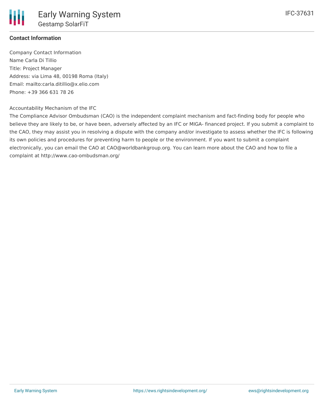

# **Contact Information**

Company Contact Information Name Carla Di Tillio Title: Project Manager Address: via Lima 48, 00198 Roma (Italy) Email: mailto:carla.ditillio@x.elio.com Phone: +39 366 631 78 26

#### Accountability Mechanism of the IFC

The Compliance Advisor Ombudsman (CAO) is the independent complaint mechanism and fact-finding body for people who believe they are likely to be, or have been, adversely affected by an IFC or MIGA- financed project. If you submit a complaint to the CAO, they may assist you in resolving a dispute with the company and/or investigate to assess whether the IFC is following its own policies and procedures for preventing harm to people or the environment. If you want to submit a complaint electronically, you can email the CAO at CAO@worldbankgroup.org. You can learn more about the CAO and how to file a complaint at http://www.cao-ombudsman.org/